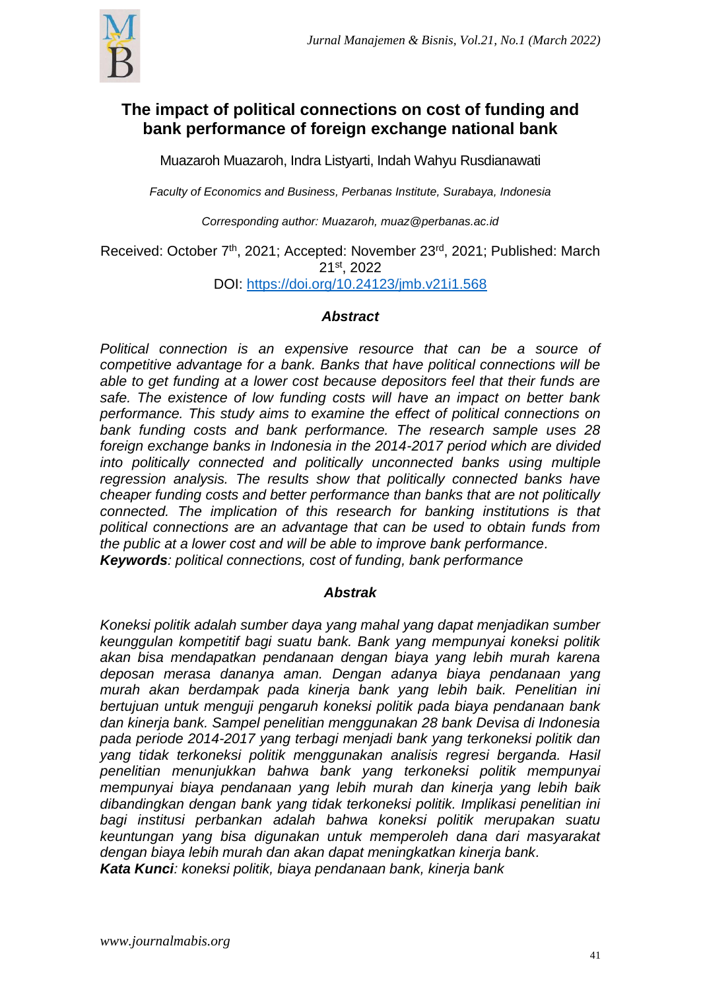

# **The impact of political connections on cost of funding and bank performance of foreign exchange national bank**

Muazaroh Muazaroh, Indra Listyarti, Indah Wahyu Rusdianawati

*Faculty of Economics and Business, Perbanas Institute, Surabaya, Indonesia*

*Corresponding author: Muazaroh, muaz@perbanas.ac.id*

Received: October 7<sup>th</sup>, 2021; Accepted: November 23<sup>rd</sup>, 2021; Published: March 21st , 2022

DOI: <https://doi.org/10.24123/jmb.v21i1.568>

## *Abstract*

*Political connection is an expensive resource that can be a source of competitive advantage for a bank. Banks that have political connections will be able to get funding at a lower cost because depositors feel that their funds are safe. The existence of low funding costs will have an impact on better bank performance. This study aims to examine the effect of political connections on bank funding costs and bank performance. The research sample uses 28 foreign exchange banks in Indonesia in the 2014-2017 period which are divided into politically connected and politically unconnected banks using multiple regression analysis. The results show that politically connected banks have cheaper funding costs and better performance than banks that are not politically connected. The implication of this research for banking institutions is that political connections are an advantage that can be used to obtain funds from the public at a lower cost and will be able to improve bank performance. Keywords: political connections, cost of funding, bank performance*

## *Abstrak*

*Koneksi politik adalah sumber daya yang mahal yang dapat menjadikan sumber keunggulan kompetitif bagi suatu bank. Bank yang mempunyai koneksi politik akan bisa mendapatkan pendanaan dengan biaya yang lebih murah karena deposan merasa dananya aman. Dengan adanya biaya pendanaan yang murah akan berdampak pada kinerja bank yang lebih baik. Penelitian ini bertujuan untuk menguji pengaruh koneksi politik pada biaya pendanaan bank dan kinerja bank. Sampel penelitian menggunakan 28 bank Devisa di Indonesia pada periode 2014-2017 yang terbagi menjadi bank yang terkoneksi politik dan yang tidak terkoneksi politik menggunakan analisis regresi berganda. Hasil penelitian menunjukkan bahwa bank yang terkoneksi politik mempunyai mempunyai biaya pendanaan yang lebih murah dan kinerja yang lebih baik dibandingkan dengan bank yang tidak terkoneksi politik. Implikasi penelitian ini bagi institusi perbankan adalah bahwa koneksi politik merupakan suatu keuntungan yang bisa digunakan untuk memperoleh dana dari masyarakat dengan biaya lebih murah dan akan dapat meningkatkan kinerja bank. Kata Kunci: koneksi politik, biaya pendanaan bank, kinerja bank*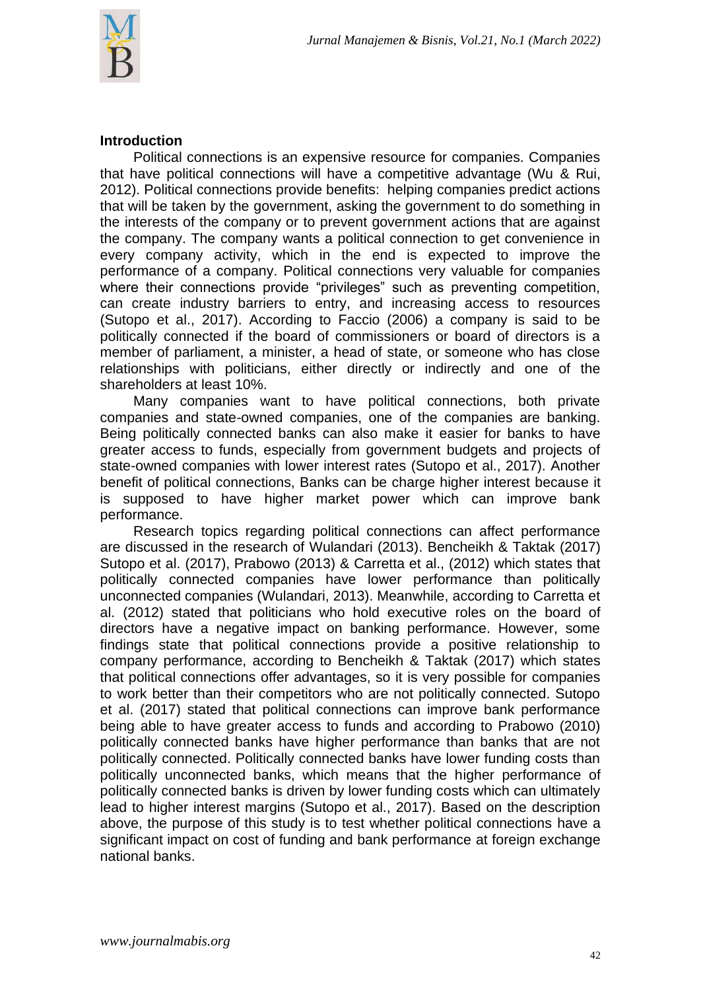## **Introduction**

Political connections is an expensive resource for companies. Companies that have political connections will have a competitive advantage (Wu & Rui, 2012). Political connections provide benefits: helping companies predict actions that will be taken by the government, asking the government to do something in the interests of the company or to prevent government actions that are against the company. The company wants a political connection to get convenience in every company activity, which in the end is expected to improve the performance of a company. Political connections very valuable for companies where their connections provide "privileges" such as preventing competition, can create industry barriers to entry, and increasing access to resources (Sutopo et al., 2017). According to Faccio (2006) a company is said to be politically connected if the board of commissioners or board of directors is a member of parliament, a minister, a head of state, or someone who has close relationships with politicians, either directly or indirectly and one of the shareholders at least 10%.

Many companies want to have political connections, both private companies and state-owned companies, one of the companies are banking. Being politically connected banks can also make it easier for banks to have greater access to funds, especially from government budgets and projects of state-owned companies with lower interest rates (Sutopo et al., 2017). Another benefit of political connections, Banks can be charge higher interest because it is supposed to have higher market power which can improve bank performance.

Research topics regarding political connections can affect performance are discussed in the research of Wulandari (2013). Bencheikh & Taktak (2017) Sutopo et al. (2017), Prabowo (2013) & Carretta et al., (2012) which states that politically connected companies have lower performance than politically unconnected companies (Wulandari, 2013). Meanwhile, according to Carretta et al. (2012) stated that politicians who hold executive roles on the board of directors have a negative impact on banking performance. However, some findings state that political connections provide a positive relationship to company performance, according to Bencheikh & Taktak (2017) which states that political connections offer advantages, so it is very possible for companies to work better than their competitors who are not politically connected. Sutopo et al. (2017) stated that political connections can improve bank performance being able to have greater access to funds and according to Prabowo (2010) politically connected banks have higher performance than banks that are not politically connected. Politically connected banks have lower funding costs than politically unconnected banks, which means that the higher performance of politically connected banks is driven by lower funding costs which can ultimately lead to higher interest margins (Sutopo et al., 2017). Based on the description above, the purpose of this study is to test whether political connections have a significant impact on cost of funding and bank performance at foreign exchange national banks.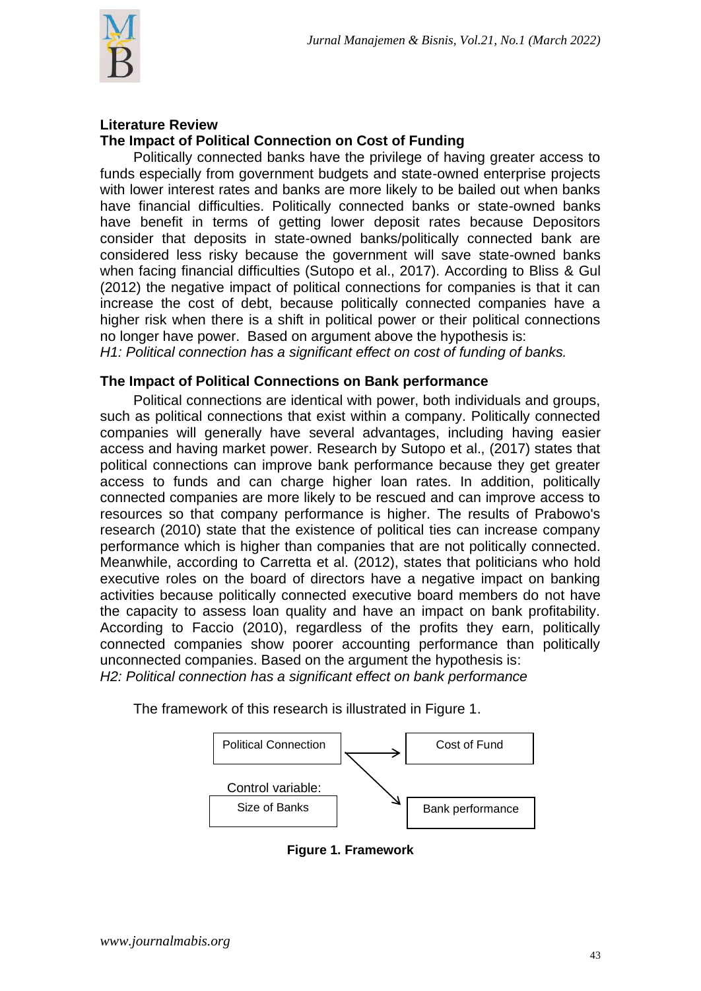

#### **Literature Review The Impact of Political Connection on Cost of Funding**

Politically connected banks have the privilege of having greater access to funds especially from government budgets and state-owned enterprise projects with lower interest rates and banks are more likely to be bailed out when banks have financial difficulties. Politically connected banks or state-owned banks have benefit in terms of getting lower deposit rates because Depositors consider that deposits in state-owned banks/politically connected bank are considered less risky because the government will save state-owned banks when facing financial difficulties (Sutopo et al., 2017). According to Bliss & Gul (2012) the negative impact of political connections for companies is that it can increase the cost of debt, because politically connected companies have a higher risk when there is a shift in political power or their political connections no longer have power. Based on argument above the hypothesis is:

*H1: Political connection has a significant effect on cost of funding of banks.*

## **The Impact of Political Connections on Bank performance**

Political connections are identical with power, both individuals and groups, such as political connections that exist within a company. Politically connected companies will generally have several advantages, including having easier access and having market power. Research by Sutopo et al., (2017) states that political connections can improve bank performance because they get greater access to funds and can charge higher loan rates. In addition, politically connected companies are more likely to be rescued and can improve access to resources so that company performance is higher. The results of Prabowo's research (2010) state that the existence of political ties can increase company performance which is higher than companies that are not politically connected. Meanwhile, according to Carretta et al. (2012), states that politicians who hold executive roles on the board of directors have a negative impact on banking activities because politically connected executive board members do not have the capacity to assess loan quality and have an impact on bank profitability. According to Faccio (2010), regardless of the profits they earn, politically connected companies show poorer accounting performance than politically unconnected companies. Based on the argument the hypothesis is: *H2: Political connection has a significant effect on bank performance*

The framework of this research is illustrated in Figure 1.



**Figure 1. Framework**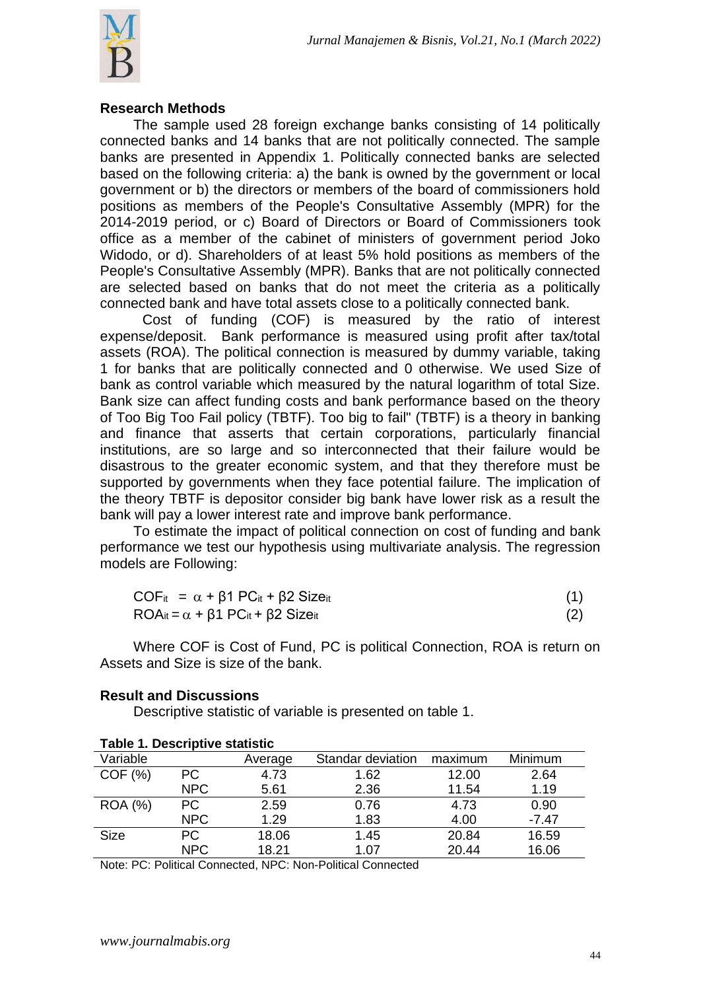

#### **Research Methods**

The sample used 28 foreign exchange banks consisting of 14 politically connected banks and 14 banks that are not politically connected. The sample banks are presented in Appendix 1. Politically connected banks are selected based on the following criteria: a) the bank is owned by the government or local government or b) the directors or members of the board of commissioners hold positions as members of the People's Consultative Assembly (MPR) for the 2014-2019 period, or c) Board of Directors or Board of Commissioners took office as a member of the cabinet of ministers of government period Joko Widodo, or d). Shareholders of at least 5% hold positions as members of the People's Consultative Assembly (MPR). Banks that are not politically connected are selected based on banks that do not meet the criteria as a politically connected bank and have total assets close to a politically connected bank.

Cost of funding (COF) is measured by the ratio of interest expense/deposit. Bank performance is measured using profit after tax/total assets (ROA). The political connection is measured by dummy variable, taking 1 for banks that are politically connected and 0 otherwise. We used Size of bank as control variable which measured by the natural logarithm of total Size. Bank size can affect funding costs and bank performance based on the theory of Too Big Too Fail policy (TBTF). Too big to fail" (TBTF) is a theory in banking and finance that asserts that certain corporations, particularly financial institutions, are so large and so interconnected that their failure would be disastrous to the greater economic system, and that they therefore must be supported by governments when they face potential failure. The implication of the theory TBTF is depositor consider big bank have lower risk as a result the bank will pay a lower interest rate and improve bank performance.

To estimate the impact of political connection on cost of funding and bank performance we test our hypothesis using multivariate analysis. The regression models are Following:

| $COF_{it} = \alpha + \beta 1 PC_{it} + \beta 2 Size_{it}$                     |  |
|-------------------------------------------------------------------------------|--|
| $ROA_{it} = \alpha + \beta$ 1 PC <sub>it</sub> + $\beta$ 2 Size <sub>it</sub> |  |

Where COF is Cost of Fund, PC is political Connection, ROA is return on Assets and Size is size of the bank.

| Table 1. Descriptive statistic |            |         |                   |         |         |
|--------------------------------|------------|---------|-------------------|---------|---------|
| Variable                       |            | Average | Standar deviation | maximum | Minimum |
| COF(%)                         | PC.        | 4.73    | 1.62              | 12.00   | 2.64    |
|                                | NPC        | 5.61    | 2.36              | 11.54   | 1.19    |
| <b>ROA</b> (%)                 | <b>PC</b>  | 2.59    | 0.76              | 4.73    | 0.90    |
|                                | <b>NPC</b> | 1.29    | 1.83              | 4.00    | $-7.47$ |
| <b>Size</b>                    | <b>PC</b>  | 18.06   | 1.45              | 20.84   | 16.59   |
|                                | <b>NPC</b> | 18.21   | 1.07              | 20.44   | 16.06   |

### **Result and Discussions**

Descriptive statistic of variable is presented on table 1.

Note: PC: Political Connected, NPC: Non-Political Connected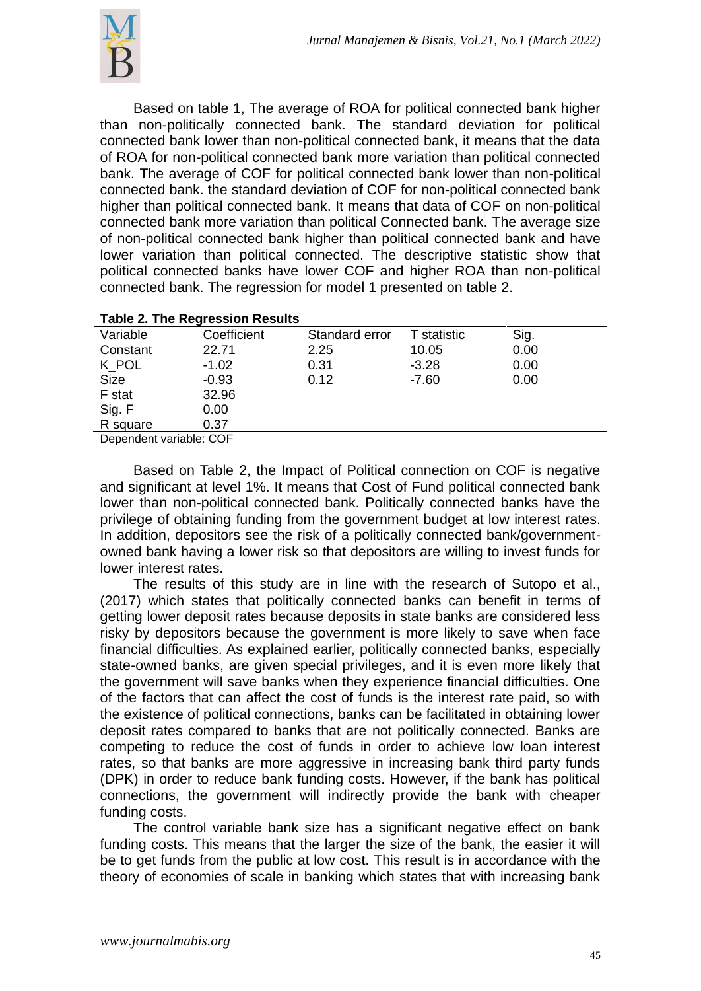

Based on table 1, The average of ROA for political connected bank higher than non-politically connected bank. The standard deviation for political connected bank lower than non-political connected bank, it means that the data of ROA for non-political connected bank more variation than political connected bank. The average of COF for political connected bank lower than non-political connected bank. the standard deviation of COF for non-political connected bank higher than political connected bank. It means that data of COF on non-political connected bank more variation than political Connected bank. The average size of non-political connected bank higher than political connected bank and have lower variation than political connected. The descriptive statistic show that political connected banks have lower COF and higher ROA than non-political connected bank. The regression for model 1 presented on table 2.

| <b>Example 2. The Regression Results</b> |             |                |             |      |  |
|------------------------------------------|-------------|----------------|-------------|------|--|
| Variable                                 | Coefficient | Standard error | T statistic | Sig. |  |
| Constant                                 | 22.71       | 2.25           | 10.05       | 0.00 |  |
| K POL                                    | $-1.02$     | 0.31           | $-3.28$     | 0.00 |  |
| <b>Size</b>                              | $-0.93$     | 0.12           | $-7.60$     | 0.00 |  |
| F stat                                   | 32.96       |                |             |      |  |
| Sig. F                                   | 0.00        |                |             |      |  |
| R square                                 | 0.37        |                |             |      |  |
| Donandont variable: COE                  |             |                |             |      |  |

## **Table 2. The Regression Results**

Dependent variable: COF

Based on Table 2, the Impact of Political connection on COF is negative and significant at level 1%. It means that Cost of Fund political connected bank lower than non-political connected bank. Politically connected banks have the privilege of obtaining funding from the government budget at low interest rates. In addition, depositors see the risk of a politically connected bank/governmentowned bank having a lower risk so that depositors are willing to invest funds for lower interest rates.

The results of this study are in line with the research of Sutopo et al., (2017) which states that politically connected banks can benefit in terms of getting lower deposit rates because deposits in state banks are considered less risky by depositors because the government is more likely to save when face financial difficulties. As explained earlier, politically connected banks, especially state-owned banks, are given special privileges, and it is even more likely that the government will save banks when they experience financial difficulties. One of the factors that can affect the cost of funds is the interest rate paid, so with the existence of political connections, banks can be facilitated in obtaining lower deposit rates compared to banks that are not politically connected. Banks are competing to reduce the cost of funds in order to achieve low loan interest rates, so that banks are more aggressive in increasing bank third party funds (DPK) in order to reduce bank funding costs. However, if the bank has political connections, the government will indirectly provide the bank with cheaper funding costs.

The control variable bank size has a significant negative effect on bank funding costs. This means that the larger the size of the bank, the easier it will be to get funds from the public at low cost. This result is in accordance with the theory of economies of scale in banking which states that with increasing bank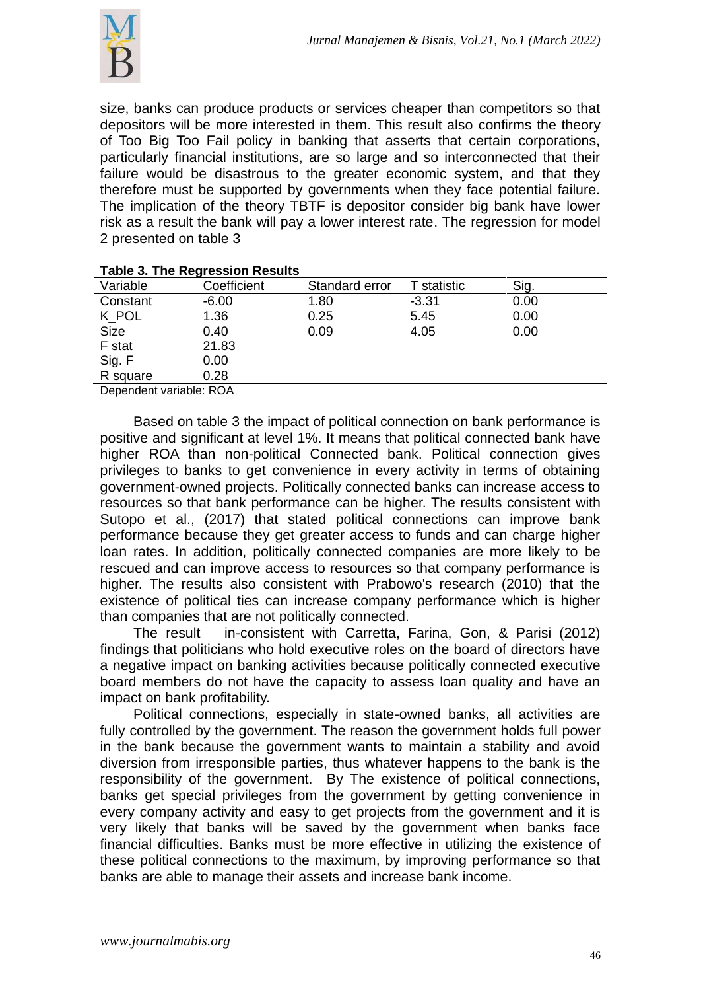

size, banks can produce products or services cheaper than competitors so that depositors will be more interested in them. This result also confirms the theory of Too Big Too Fail policy in banking that asserts that certain corporations, particularly financial institutions, are so large and so interconnected that their failure would be disastrous to the greater economic system, and that they therefore must be supported by governments when they face potential failure. The implication of the theory TBTF is depositor consider big bank have lower risk as a result the bank will pay a lower interest rate. The regression for model 2 presented on table 3

|                         | <u>1 AMIC 0. THE INCHITESTIVITINES AND</u> |                |             |      |  |
|-------------------------|--------------------------------------------|----------------|-------------|------|--|
| Variable                | Coefficient                                | Standard error | T statistic | Sig. |  |
| Constant                | $-6.00$                                    | 1.80           | $-3.31$     | 0.00 |  |
| K POL                   | 1.36                                       | 0.25           | 5.45        | 0.00 |  |
| <b>Size</b>             | 0.40                                       | 0.09           | 4.05        | 0.00 |  |
| F stat                  | 21.83                                      |                |             |      |  |
| Sig. F                  | 0.00                                       |                |             |      |  |
| R square                | 0.28                                       |                |             |      |  |
| Dependent variable: ROA |                                            |                |             |      |  |

#### **Table 3. The Regression Results**

Based on table 3 the impact of political connection on bank performance is positive and significant at level 1%. It means that political connected bank have higher ROA than non-political Connected bank. Political connection gives privileges to banks to get convenience in every activity in terms of obtaining government-owned projects. Politically connected banks can increase access to resources so that bank performance can be higher. The results consistent with Sutopo et al., (2017) that stated political connections can improve bank performance because they get greater access to funds and can charge higher loan rates. In addition, politically connected companies are more likely to be rescued and can improve access to resources so that company performance is higher. The results also consistent with Prabowo's research (2010) that the existence of political ties can increase company performance which is higher than companies that are not politically connected.

The result in-consistent with Carretta, Farina, Gon, & Parisi (2012) findings that politicians who hold executive roles on the board of directors have a negative impact on banking activities because politically connected executive board members do not have the capacity to assess loan quality and have an impact on bank profitability.

Political connections, especially in state-owned banks, all activities are fully controlled by the government. The reason the government holds full power in the bank because the government wants to maintain a stability and avoid diversion from irresponsible parties, thus whatever happens to the bank is the responsibility of the government. By The existence of political connections, banks get special privileges from the government by getting convenience in every company activity and easy to get projects from the government and it is very likely that banks will be saved by the government when banks face financial difficulties. Banks must be more effective in utilizing the existence of these political connections to the maximum, by improving performance so that banks are able to manage their assets and increase bank income.